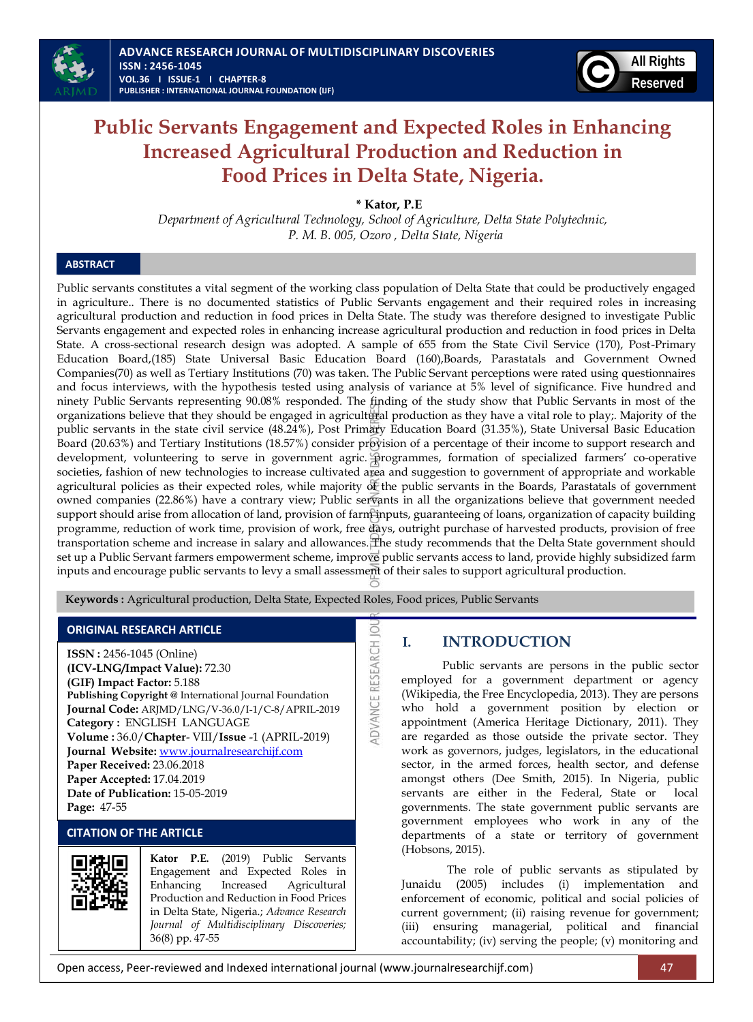

# **Public Servants Engagement and Expected Roles in Enhancing Increased Agricultural Production and Reduction in Food Prices in Delta State, Nigeria.**

**\* Kator, P.E** 

*Department of Agricultural Technology, School of Agriculture, Delta State Polytechnic, P. M. B. 005, Ozoro , Delta State, Nigeria*

# **ABSTRACT**

Public servants constitutes a vital segment of the working class population of Delta State that could be productively engaged in agriculture.. There is no documented statistics of Public Servants engagement and their required roles in increasing agricultural production and reduction in food prices in Delta State. The study was therefore designed to investigate Public Servants engagement and expected roles in enhancing increase agricultural production and reduction in food prices in Delta State. A cross-sectional research design was adopted. A sample of 655 from the State Civil Service (170), Post-Primary Education Board,(185) State Universal Basic Education Board (160),Boards, Parastatals and Government Owned Companies(70) as well as Tertiary Institutions (70) was taken. The Public Servant perceptions were rated using questionnaires and focus interviews, with the hypothesis tested using analysis of variance at 5% level of significance. Five hundred and ninety Public Servants representing 90.08% responded. The finding of the study show that Public Servants in most of the organizations believe that they should be engaged in agricultural production as they have a vital role to play;. Majority of the public servants in the state civil service (48.24%), Post Primary Education Board (31.35%), State Universal Basic Education Board (20.63%) and Tertiary Institutions (18.57%) consider provision of a percentage of their income to support research and development, volunteering to serve in government agric. programmes, formation of specialized farmers' co-operative societies, fashion of new technologies to increase cultivated area and suggestion to government of appropriate and workable agricultural policies as their expected roles, while majority of the public servants in the Boards, Parastatals of government owned companies (22.86%) have a contrary view; Public servants in all the organizations believe that government needed support should arise from allocation of land, provision of farm inputs, guaranteeing of loans, organization of capacity building programme, reduction of work time, provision of work, free days, outright purchase of harvested products, provision of free transportation scheme and increase in salary and allowances. The study recommends that the Delta State government should set up a Public Servant farmers empowerment scheme, improve public servants access to land, provide highly subsidized farm inputs and encourage public servants to levy a small assessment of their sales to support agricultural production.

**IDVANCE RESEARCH JO** 

 **Keywords :** Agricultural production, Delta State, Expected Roles, Food prices, Public Servants

### **ORIGINAL RESEARCH ARTICLE**

**ISSN :** 2456-1045 (Online) **(ICV-LNG/Impact Value):** 72.30 **(GIF) Impact Factor:** 5.188 **Publishing Copyright @** International Journal Foundation **Journal Code:** ARJMD/LNG/V-36.0/I-1/C-8/APRIL-2019 **Category :** ENGLISH LANGUAGE **Volume :** 36.0/**Chapter**- VIII/**Issue** -1 (APRIL-2019) **Journal Website:** [www.journalresearchijf.com](http://www.journalresearchijf.com/) **Paper Received:** 23.06.2018 **Paper Accepted:** 17.04.2019 **Date of Publication:** 15-05-2019 **Page:** 47-55

# **CITATION OF THE ARTICLE**



**Kator P.E.** (2019) Public Servants Engagement and Expected Roles in Enhancing Increased Agricultural Production and Reduction in Food Prices in Delta State, Nigeria.; *Advance Research Journal of Multidisciplinary Discoveries;* 36(8) pp. 47-55

# **I. INTRODUCTION**

Public servants are persons in the public sector employed for a government department or agency (Wikipedia, the Free Encyclopedia, 2013). They are persons who hold a government position by election or appointment (America Heritage Dictionary, 2011). They are regarded as those outside the private sector. They work as governors, judges, legislators, in the educational sector, in the armed forces, health sector, and defense amongst others (Dee Smith, 2015). In Nigeria, public servants are either in the Federal, State or local governments. The state government public servants are government employees who work in any of the departments of a state or territory of government (Hobsons, 2015).

The role of public servants as stipulated by Junaidu (2005) includes (i) implementation and enforcement of economic, political and social policies of current government; (ii) raising revenue for government; (iii) ensuring managerial, political and financial accountability; (iv) serving the people; (v) monitoring and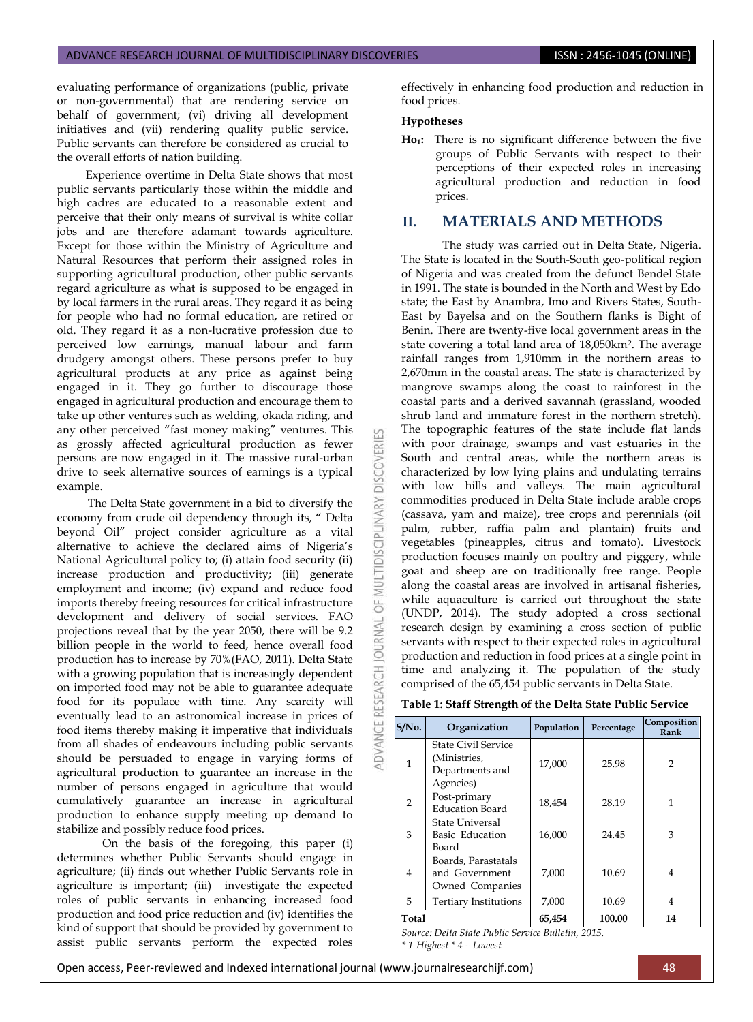evaluating performance of organizations (public, private or non-governmental) that are rendering service on behalf of government; (vi) driving all development initiatives and (vii) rendering quality public service. Public servants can therefore be considered as crucial to the overall efforts of nation building.

Experience overtime in Delta State shows that most public servants particularly those within the middle and high cadres are educated to a reasonable extent and perceive that their only means of survival is white collar jobs and are therefore adamant towards agriculture. Except for those within the Ministry of Agriculture and Natural Resources that perform their assigned roles in supporting agricultural production, other public servants regard agriculture as what is supposed to be engaged in by local farmers in the rural areas. They regard it as being for people who had no formal education, are retired or old. They regard it as a non-lucrative profession due to perceived low earnings, manual labour and farm drudgery amongst others. These persons prefer to buy agricultural products at any price as against being engaged in it. They go further to discourage those engaged in agricultural production and encourage them to take up other ventures such as welding, okada riding, and any other perceived "fast money making" ventures. This as grossly affected agricultural production as fewer persons are now engaged in it. The massive rural-urban drive to seek alternative sources of earnings is a typical example.

The Delta State government in a bid to diversify the economy from crude oil dependency through its, " Delta beyond Oil" project consider agriculture as a vital alternative to achieve the declared aims of Nigeria's National Agricultural policy to; (i) attain food security (ii) increase production and productivity; (iii) generate employment and income; (iv) expand and reduce food imports thereby freeing resources for critical infrastructure development and delivery of social services. FAO projections reveal that by the year 2050, there will be 9.2 billion people in the world to feed, hence overall food production has to increase by 70%(FAO, 2011). Delta State with a growing population that is increasingly dependent on imported food may not be able to guarantee adequate food for its populace with time. Any scarcity will eventually lead to an astronomical increase in prices of food items thereby making it imperative that individuals from all shades of endeavours including public servants should be persuaded to engage in varying forms of agricultural production to guarantee an increase in the number of persons engaged in agriculture that would cumulatively guarantee an increase in agricultural production to enhance supply meeting up demand to stabilize and possibly reduce food prices.

On the basis of the foregoing, this paper (i) determines whether Public Servants should engage in agriculture; (ii) finds out whether Public Servants role in agriculture is important; (iii) investigate the expected roles of public servants in enhancing increased food production and food price reduction and (iv) identifies the kind of support that should be provided by government to assist public servants perform the expected roles

effectively in enhancing food production and reduction in food prices.

### **Hypotheses**

53

**DISCOVERI** 

MULTIDISCIPLINARY

bF<sub>1</sub>

JOURNAL

**ADVANCE RESEARCH** 

**Ho1:** There is no significant difference between the five groups of Public Servants with respect to their perceptions of their expected roles in increasing agricultural production and reduction in food prices.

### **II. MATERIALS AND METHODS**

The study was carried out in Delta State, Nigeria. The State is located in the South-South geo-political region of Nigeria and was created from the defunct Bendel State in 1991. The state is bounded in the North and West by Edo state; the East by Anambra, Imo and Rivers States, South-East by Bayelsa and on the Southern flanks is Bight of Benin. There are twenty-five local government areas in the state covering a total land area of 18,050km2. The average rainfall ranges from 1,910mm in the northern areas to 2,670mm in the coastal areas. The state is characterized by mangrove swamps along the coast to rainforest in the coastal parts and a derived savannah (grassland, wooded shrub land and immature forest in the northern stretch). The topographic features of the state include flat lands with poor drainage, swamps and vast estuaries in the South and central areas, while the northern areas is characterized by low lying plains and undulating terrains with low hills and valleys. The main agricultural commodities produced in Delta State include arable crops (cassava, yam and maize), tree crops and perennials (oil palm, rubber, raffia palm and plantain) fruits and vegetables (pineapples, citrus and tomato). Livestock production focuses mainly on poultry and piggery, while goat and sheep are on traditionally free range. People along the coastal areas are involved in artisanal fisheries, while aquaculture is carried out throughout the state (UNDP, 2014). The study adopted a cross sectional research design by examining a cross section of public servants with respect to their expected roles in agricultural production and reduction in food prices at a single point in time and analyzing it. The population of the study comprised of the 65,454 public servants in Delta State.

### **Table 1: Staff Strength of the Delta State Public Service**

| $S/N0$ . | Organization                                                               | Population | Percentage | Composition<br>Rank |
|----------|----------------------------------------------------------------------------|------------|------------|---------------------|
| 1        | <b>State Civil Service</b><br>(Ministries,<br>Departments and<br>Agencies) | 17,000     | 25.98      | 2                   |
| 2        | Post-primary<br><b>Education Board</b>                                     | 18,454     | 28.19      | 1                   |
| 3        | <b>State Universal</b><br>Basic Education<br>Board                         | 16,000     | 24.45      | 3                   |
| 4        | Boards, Parastatals<br>and Government<br>Owned Companies                   | 7,000      | 10.69      | 4                   |
| 5        | <b>Tertiary Institutions</b>                                               | 7,000      | 10.69      | 4                   |
| Total    |                                                                            | 65,454     | 100.00     | 14                  |

*Source: Delta State Public Service Bulletin, 2015.*

*\* 1-Highest \* 4 – Lowest*

Open access, Peer-reviewed and Indexed international journal (www.journalresearchijf.com) 48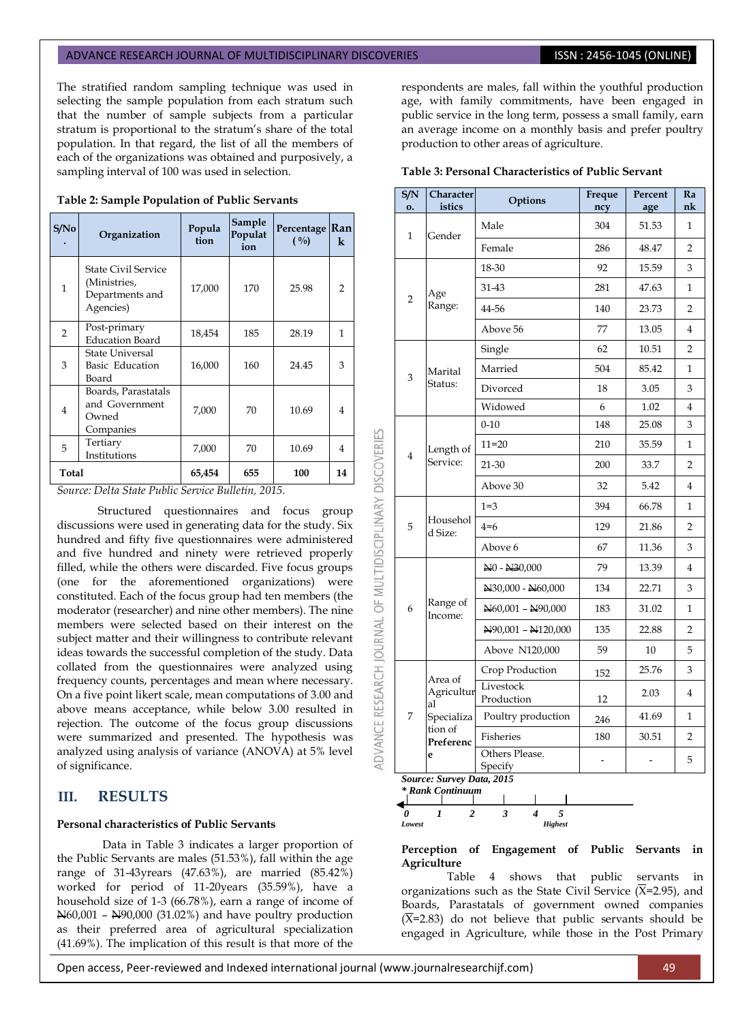The stratified random sampling technique was used in selecting the sample population from each stratum such that the number of sample subjects from a particular stratum is proportional to the stratum's share of the total population. In that regard, the list of all the members of each of the organizations was obtained and purposively, a sampling interval of 100 was used in selection.

| S/No         | Organization                                                               | Popula<br>tion | Sample<br>Populat<br>ion | Percentage Ran<br>$( \frac{0}{0} )$ | $\bf k$        |
|--------------|----------------------------------------------------------------------------|----------------|--------------------------|-------------------------------------|----------------|
| $\mathbf{1}$ | <b>State Civil Service</b><br>(Ministries,<br>Departments and<br>Agencies) | 17,000         | 170                      | 25.98                               | 2              |
| 2            | Post-primary<br><b>Education Board</b>                                     | 18,454         | 185                      | 28.19                               | 1              |
| 3            | <b>State Universal</b><br>Basic Education<br>Board                         | 16,000         | 160                      | 24.45                               | 3              |
| 4            | Boards, Parastatals<br>and Government<br>Owned<br>Companies                | 7,000          | 70                       | 10.69                               | $\overline{4}$ |
| 5            | Tertiary<br>Institutions                                                   | 7,000          | 70                       | 10.69                               | 4              |
| Total        |                                                                            | 65,454         | 655                      | 100                                 | 14             |

**Table 2: Sample Population of Public Servants**

*Source: Delta State Public Service Bulletin, 2015.*

Structured questionnaires and focus group discussions were used in generating data for the study. Six hundred and fifty five questionnaires were administered and five hundred and ninety were retrieved properly filled, while the others were discarded. Five focus groups (one for the aforementioned organizations) were constituted. Each of the focus group had ten members (the moderator (researcher) and nine other members). The nine members were selected based on their interest on the subject matter and their willingness to contribute relevant ideas towards the successful completion of the study. Data collated from the questionnaires were analyzed using frequency counts, percentages and mean where necessary. On a five point likert scale, mean computations of 3.00 and above means acceptance, while below 3.00 resulted in rejection. The outcome of the focus group discussions were summarized and presented. The hypothesis was analyzed using analysis of variance (ANOVA) at 5% level of significance.

# **III. RESULTS**

### **Personal characteristics of Public Servants**

Data in Table 3 indicates a larger proportion of the Public Servants are males (51.53%), fall within the age range of 31-43yrears (47.63%), are married (85.42%) worked for period of 11-20years (35.59%), have a household size of 1-3 (66.78%), earn a range of income of N60,001 – N90,000 (31.02%) and have poultry production as their preferred area of agricultural specialization (41.69%). The implication of this result is that more of the

respondents are males, fall within the youthful production age, with family commitments, have been engaged in public service in the long term, possess a small family, earn an average income on a monthly basis and prefer poultry production to other areas of agriculture.

#### **Table 3: Personal Characteristics of Public Servant**

| S/N<br>0.      | Character<br>istics            | Options                               | Freque<br>ncy                                                                                                                                                                                                                                                                                              | Percent<br>age | Ra<br>nk       |
|----------------|--------------------------------|---------------------------------------|------------------------------------------------------------------------------------------------------------------------------------------------------------------------------------------------------------------------------------------------------------------------------------------------------------|----------------|----------------|
| 1              | Gender                         | Male                                  | 304                                                                                                                                                                                                                                                                                                        | 51.53          | 1              |
|                |                                | Female                                | 286                                                                                                                                                                                                                                                                                                        | 48.47          | $\overline{2}$ |
|                |                                | 18-30                                 | 92                                                                                                                                                                                                                                                                                                         | 15.59          | 3              |
|                | Age                            | 31-43                                 | 281                                                                                                                                                                                                                                                                                                        | 47.63          | $\mathbf{1}$   |
| $\overline{2}$ | Range:                         | 44-56                                 | 140                                                                                                                                                                                                                                                                                                        | 23.73          | $\overline{2}$ |
|                |                                | Above 56                              | 77<br>13.05<br>62<br>10.51<br>504<br>85.42<br>3.05<br>18<br>6<br>1.02<br>148<br>25.08<br>210<br>35.59<br>200<br>33.7<br>32<br>5.42<br>394<br>66.78<br>129<br>21.86<br>67<br>11.36<br>79<br>13.39<br>134<br>22.71<br>183<br>31.02<br>135<br>22.88<br>59<br>10<br>25.76<br>152<br>2.03<br>12<br>41.69<br>246 | 4              |                |
|                |                                | Single                                |                                                                                                                                                                                                                                                                                                            |                | $\overline{2}$ |
| 3              | Marital                        | Married                               |                                                                                                                                                                                                                                                                                                            |                | 1              |
|                | Status:                        | Divorced                              |                                                                                                                                                                                                                                                                                                            |                | 3              |
|                |                                | Widowed                               |                                                                                                                                                                                                                                                                                                            |                | 4              |
|                |                                | $0 - 10$                              |                                                                                                                                                                                                                                                                                                            |                | 3              |
|                | Length of<br>Service:          | $11 = 20$                             |                                                                                                                                                                                                                                                                                                            |                | 1              |
| $\overline{4}$ |                                | 21-30                                 |                                                                                                                                                                                                                                                                                                            |                | 2              |
|                |                                | Above 30                              |                                                                                                                                                                                                                                                                                                            |                | $\overline{4}$ |
| 5<br>d Size:   | Househol                       | $1 = 3$                               |                                                                                                                                                                                                                                                                                                            |                | 1              |
|                |                                | $4=6$                                 |                                                                                                                                                                                                                                                                                                            |                | $\overline{2}$ |
|                |                                | Above 6                               |                                                                                                                                                                                                                                                                                                            |                | 3              |
|                |                                | N <sub>0</sub> - N <sub>30</sub> ,000 |                                                                                                                                                                                                                                                                                                            |                | 4              |
|                | Range of<br>Income:            | N30,000 - N60,000                     |                                                                                                                                                                                                                                                                                                            |                | 3              |
| 6              |                                | N60,001 - N90,000                     |                                                                                                                                                                                                                                                                                                            |                | 1              |
|                |                                | N90,001 - N120,000                    |                                                                                                                                                                                                                                                                                                            |                | $\overline{2}$ |
|                |                                | Above N120,000                        |                                                                                                                                                                                                                                                                                                            |                | 5              |
|                |                                | Crop Production                       |                                                                                                                                                                                                                                                                                                            |                | 3              |
|                | Area of<br>Agricultur<br>al    | Livestock<br>Production               |                                                                                                                                                                                                                                                                                                            |                | $\overline{4}$ |
| 7              | Specializa                     | Poultry production                    |                                                                                                                                                                                                                                                                                                            |                | 1              |
|                | tion of<br>Preferenc           | Fisheries                             | 180                                                                                                                                                                                                                                                                                                        | 30.51          | 2              |
|                | e<br>Source: Survey Data, 2015 | Others Please.<br>Specify             | $\overline{a}$                                                                                                                                                                                                                                                                                             | $\overline{a}$ | 5              |



**Perception of Engagement of Public Servants in Agriculture** 

Table 4 shows that public servants in organizations such as the State Civil Service  $(X=2.95)$ , and Boards, Parastatals of government owned companies  $(\overline{X}=2.83)$  do not believe that public servants should be engaged in Agriculture, while those in the Post Primary

Open access, Peer-reviewed and Indexed international journal (www.journalresearchijf.com) 49

OF MULTIDISCIPLINARY DISCOVERIES

**ADVANCE RESEARCH JOURNAL**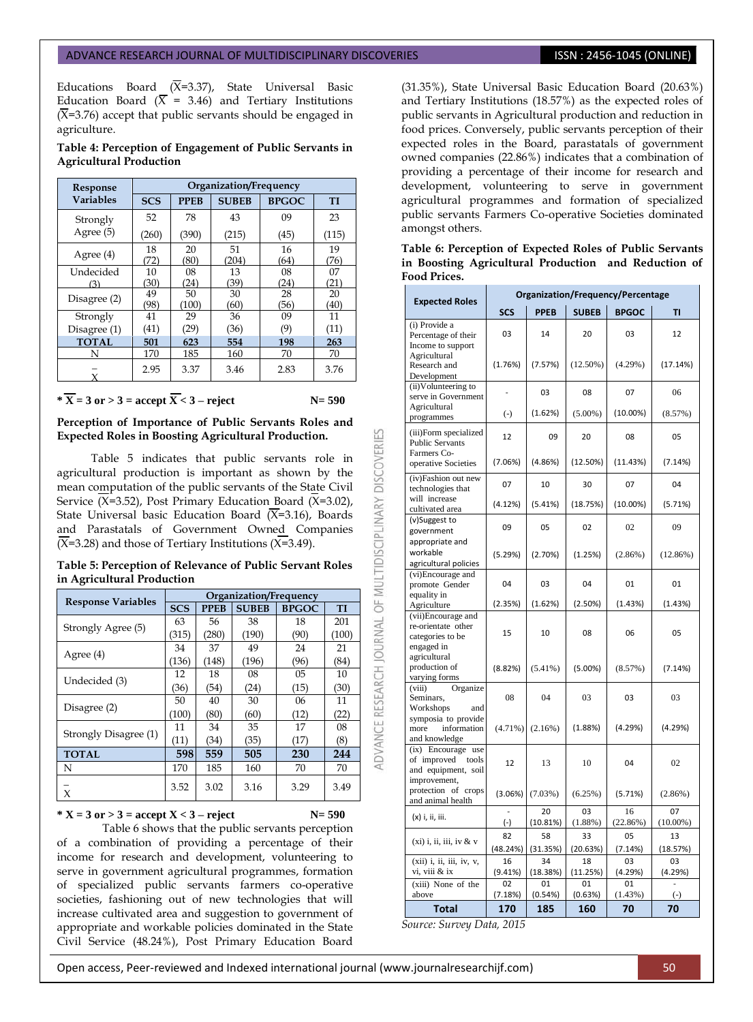Educations Board  $(\overline{X}=3.37)$ , State Universal Basic Education Board ( $\overline{X}$  = 3.46) and Tertiary Institutions  $(\overline{X}=3.76)$  accept that public servants should be engaged in agriculture.

### **Table 4: Perception of Engagement of Public Servants in Agricultural Production**

| Response         | Organization/Frequency |             |              |              |       |  |  |
|------------------|------------------------|-------------|--------------|--------------|-------|--|--|
| <b>Variables</b> | <b>SCS</b>             | <b>PPEB</b> | <b>SUBEB</b> | <b>BPGOC</b> | TI    |  |  |
| Strongly         | 52                     | 78          | 43           | 09           | 23    |  |  |
| Agree (5)        | (260)                  | (390)       | (215)        | (45)         | (115) |  |  |
| Agree (4)        | 18                     | 20          | 51           | 16           | 19    |  |  |
|                  | (72)                   | (80)        | (204)        | (64)         | (76)  |  |  |
| Undecided        | 10                     | 08          | 13           | 08           | 07    |  |  |
| (3)              | (30)                   | (24)        | (39)         | (24)         | (21)  |  |  |
| Disagree (2)     | 49                     | 50          | 30           | 28           | 20    |  |  |
|                  | (98)                   | (100)       | (60)         | (56)         | (40)  |  |  |
| Strongly         | 41                     | 29          | 36           | 09           | 11    |  |  |
| Disagree (1)     | (41)                   | (29         | (36)         | (9)          | (11)  |  |  |
| <b>TOTAL</b>     | 501                    | 623         | 554          | 198          | 263   |  |  |
| N                | 170                    | 185         | 160          | 70           | 70    |  |  |
|                  | 2.95                   | 3.37        | 3.46         | 2.83         | 3.76  |  |  |

# $*\overline{X} = 3$  or  $> 3 =$  accept  $\overline{X} < 3 -$  reject N= 590

**Perception of Importance of Public Servants Roles and Expected Roles in Boosting Agricultural Production.** 

Table 5 indicates that public servants role in agricultural production is important as shown by the mean computation of the public servants of the State Civil Service  $(X=3.52)$ , Post Primary Education Board  $(X=3.02)$ , State Universal basic Education Board  $(X=3.16)$ , Boards and Parastatals of Government Owned Companies  $(\overline{X}=3.28)$  and those of Tertiary Institutions ( $\overline{X}=3.49$ ).

### **Table 5: Perception of Relevance of Public Servant Roles in Agricultural Production**

|                           | Organization/Frequency |             |              |              |           |  |
|---------------------------|------------------------|-------------|--------------|--------------|-----------|--|
| <b>Response Variables</b> | <b>SCS</b>             | <b>PPEB</b> | <b>SUBEB</b> | <b>BPGOC</b> | <b>TI</b> |  |
|                           | 63                     | 56          | 38           | 18           | 201       |  |
| Strongly Agree (5)        | (315)                  | (280)       | (190)        | (90)         | (100)     |  |
|                           | 34                     | 37          | 49           | 24           | 21        |  |
| Agree (4)                 | (136)                  | (148)       | (196)        | (96)         | (84)      |  |
| Undecided (3)             | 12                     | 18          | 08           | 05           | 10        |  |
|                           | (36)                   | (54)        | (24)         | (15)         | (30)      |  |
|                           | 50                     | 40          | 30           | 06           | 11        |  |
| Disagree (2)              | (100)                  | (80)        | (60)         | (12)         | (22)      |  |
|                           | 11                     | 34          | 35           | 17           | 08        |  |
| Strongly Disagree (1)     | (11)                   | (34)        | (35)         | (17)         | (8)       |  |
| <b>TOTAL</b>              | 598                    | 559         | 505          | 230          | 244       |  |
| N                         | 170                    | 185         | 160          | 70           | 70        |  |
| X                         | 3.52                   | 3.02        | 3.16         | 3.29         | 3.49      |  |

### **\***  $X = 3$  or  $> 3 =$  accept  $X < 3 -$  reject  $N = 590$

ADVANCE RESEARCH JOURNAL OF MULTIDISCIPLINARY DISCOVERIES

Table 6 shows that the public servants perception of a combination of providing a percentage of their income for research and development, volunteering to serve in government agricultural programmes, formation of specialized public servants farmers co-operative societies, fashioning out of new technologies that will increase cultivated area and suggestion to government of appropriate and workable policies dominated in the State Civil Service (48.24%), Post Primary Education Board

(31.35%), State Universal Basic Education Board (20.63%) and Tertiary Institutions (18.57%) as the expected roles of public servants in Agricultural production and reduction in food prices. Conversely, public servants perception of their expected roles in the Board, parastatals of government owned companies (22.86%) indicates that a combination of providing a percentage of their income for research and development, volunteering to serve in government agricultural programmes and formation of specialized public servants Farmers Co-operative Societies dominated amongst others.

### **Table 6: Perception of Expected Roles of Public Servants in Boosting Agricultural Production and Reduction of Food Prices.**

| <b>Expected Roles</b>                                                             | Organization/Frequency/Percentage |                |                  |                |                   |  |  |
|-----------------------------------------------------------------------------------|-----------------------------------|----------------|------------------|----------------|-------------------|--|--|
|                                                                                   | <b>SCS</b>                        | <b>PPEB</b>    | <b>SUBEB</b>     | <b>BPGOC</b>   | TI                |  |  |
| (i) Provide a<br>Percentage of their<br>Income to support                         | 03                                | 14             | 20               | 03             | 12                |  |  |
| Agricultural<br>Research and<br>Development                                       | (1.76%)                           | (7.57%)        | $(12.50\%)$      | $(4.29\%)$     | (17.14%)          |  |  |
| $\overline{(ii)}$ Volunteering to<br>serve in Government                          |                                   | 03             | 08               | 07             | 06                |  |  |
| Agricultural<br>programmes                                                        | $(-)$                             | (1.62%)        | $(5.00\%)$       | $(10.00\%)$    | (8.57%)           |  |  |
| (iii)Form specialized<br><b>Public Servants</b><br>Farmers Co-                    | 12                                | 09             | 20               | 08             | 05                |  |  |
| operative Societies                                                               | (7.06%)                           | (4.86%)        | (12.50%)         | (11.43%)       | (7.14%)           |  |  |
| (iv)Fashion out new<br>technologies that                                          | 07                                | 10             | 30               | 07             | 04                |  |  |
| will increase<br>cultivated area                                                  | (4.12%)                           | (5.41%)        | (18.75%)         | $(10.00\%)$    | (5.71%)           |  |  |
| (v)Suggest to<br>government<br>appropriate and                                    | 09                                | 05             | 02               | 02             | 09                |  |  |
| workable<br>agricultural policies                                                 | (5.29%)                           | (2.70%)        | (1.25%)          | $(2.86\%)$     | $(12.86\%)$       |  |  |
| (vi)Encourage and<br>promote Gender                                               | 04                                | 03             | 04               | 01             | 01                |  |  |
| equality in<br>Agriculture                                                        | (2.35%)                           | (1.62%)        | (2.50%)          | (1.43%)        | (1.43%)           |  |  |
| (vii)Encourage and<br>re-orientate other<br>categories to be<br>engaged in        | 15                                | 10             | 08               | 06             | 05                |  |  |
| agricultural<br>production of<br>varying forms                                    | (8.82%)                           | $(5.41\%)$     | $(5.00\%)$       | (8.57%)        | (7.14%)           |  |  |
| (viii)<br>Organize<br>Seminars,<br>Workshops<br>and                               | 08                                | 04             | 03               | 03             | 03                |  |  |
| symposia to provide<br>more<br>information<br>and knowledge                       | $(4.71\%)$                        | (2.16%)        | (1.88%)          | (4.29%)        | (4.29%)           |  |  |
| (ix) Encourage use<br>of improved<br>tools<br>and equipment, soil<br>improvement, | 12                                | 13             | 10               | 04             | 02                |  |  |
| protection of crops<br>and animal health                                          | (3.06%)                           | (7.03%)        | (6.25%)          | (5.71%)        | $(2.86\%)$        |  |  |
| (x) i, ii, iii.                                                                   | $\overline{a}$<br>$(-)$           | 20<br>(10.81%) | 03<br>$(1.88\%)$ | 16<br>(22.86%) | 07<br>$(10.00\%)$ |  |  |
| $(xi)$ i, ii, iii, iv & v                                                         | 82                                | 58             | 33               | 05             | 13                |  |  |
|                                                                                   | (48.24%)                          | (31.35%)       | (20.63%)         | (7.14%)        | (18.57%)          |  |  |
| (xii) i, ii, iii, iv, v,<br>vi, viii & ix                                         | 16                                | 34             | 18               | 03             | 03<br>(4.29%)     |  |  |
| (xiii) None of the                                                                | (9.41%)<br>02                     | (18.38%)<br>01 | (11.25%)<br>01   | (4.29%)<br>01  |                   |  |  |
| above                                                                             | (7.18%)                           | (0.54%)        | (0.63%)          | (1.43%)        | $\left( -\right)$ |  |  |
| <b>Total</b>                                                                      | 170                               | 185            | 160              | 70             | 70                |  |  |

*Source: Survey Data, 2015*

### Open access, Peer-reviewed and Indexed international journal (www.journalresearchijf.com) 50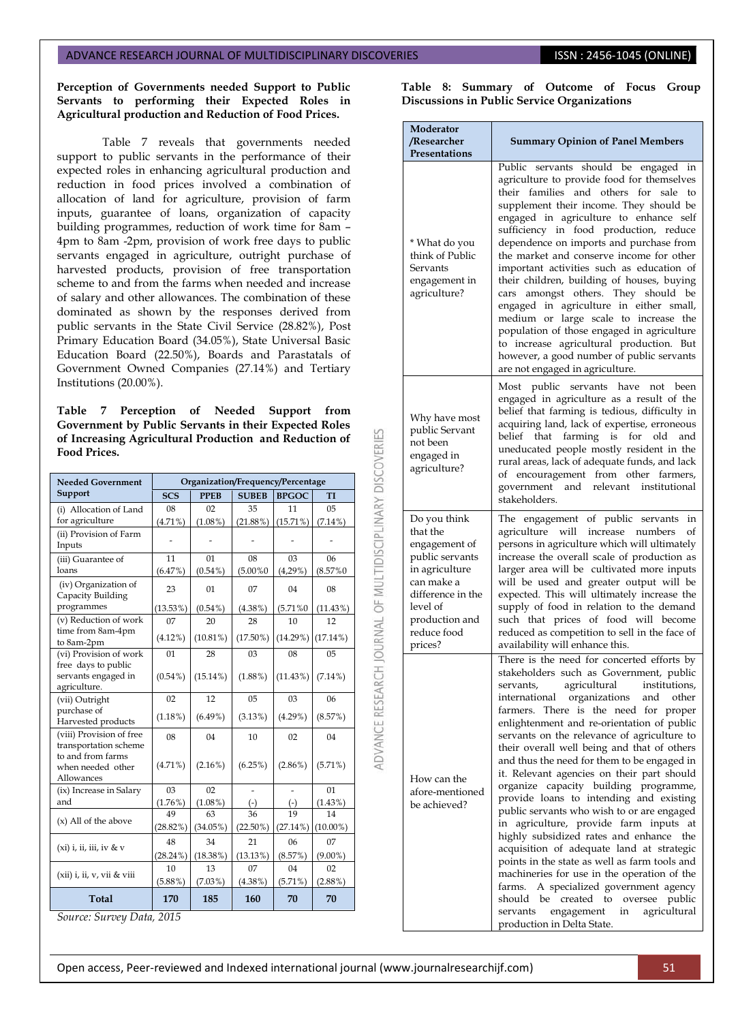### **Perception of Governments needed Support to Public Servants to performing their Expected Roles in Agricultural production and Reduction of Food Prices.**

Table 7 reveals that governments needed support to public servants in the performance of their expected roles in enhancing agricultural production and reduction in food prices involved a combination of allocation of land for agriculture, provision of farm inputs, guarantee of loans, organization of capacity building programmes, reduction of work time for 8am – 4pm to 8am -2pm, provision of work free days to public servants engaged in agriculture, outright purchase of harvested products, provision of free transportation scheme to and from the farms when needed and increase of salary and other allowances. The combination of these dominated as shown by the responses derived from public servants in the State Civil Service (28.82%), Post Primary Education Board (34.05%), State Universal Basic Education Board (22.50%), Boards and Parastatals of Government Owned Companies (27.14%) and Tertiary Institutions (20.00%).

**Table 7 Perception of Needed Support from Government by Public Servants in their Expected Roles of Increasing Agricultural Production and Reduction of Food Prices.**

| <b>Needed Government</b>                                   | Organization/Frequency/Percentage |             |                |              |                |  |  |
|------------------------------------------------------------|-----------------------------------|-------------|----------------|--------------|----------------|--|--|
| Support                                                    | <b>SCS</b>                        | <b>PPEB</b> | <b>SUBEB</b>   | <b>BPGOC</b> | TI             |  |  |
| (i) Allocation of Land                                     | 08                                | 02          | 35             | 11           | 0 <sub>5</sub> |  |  |
| for agriculture                                            | $(4.71\%)$                        | $(1.08\%)$  | $(21.88\%)$    | $(15.71\%)$  | $(7.14\%)$     |  |  |
| (ii) Provision of Farm<br>Inputs                           |                                   |             |                |              |                |  |  |
| (iii) Guarantee of                                         | 11                                | 01          | 08             | 03           | 06             |  |  |
| loans                                                      | (6.47%)                           | $(0.54\%)$  | $(5.00\%0)$    | (4,29%)      | $(8.57\%0)$    |  |  |
| (iv) Organization of<br>Capacity Building                  | 23                                | 01          | 07             | 04           | 08             |  |  |
| programmes                                                 | $(13.53\%)$                       | $(0.54\%)$  | $(4.38\%)$     | $(5.71\%0)$  | (11.43%)       |  |  |
| (v) Reduction of work                                      | 07                                | 20          | 28             | 10           | 12             |  |  |
| time from 8am-4pm<br>to 8am-2pm                            | $(4.12\%)$                        | $(10.81\%)$ | $(17.50\%)$    | $(14.29\%)$  | $(17.14\%)$    |  |  |
| (vi) Provision of work                                     | 01                                | 28          | 03             | 08           | 0 <sub>5</sub> |  |  |
| free days to public<br>servants engaged in<br>agriculture. | $(0.54\%)$                        | $(15.14\%)$ | $(1.88\%)$     | $(11.43\%)$  | $(7.14\%)$     |  |  |
| (vii) Outright                                             | 02                                | 12          | 0 <sub>5</sub> | 03           | 06             |  |  |
| purchase of<br>Harvested products                          | $(1.18\%)$                        | $(6.49\%)$  | (3.13%)        | $(4.29\%)$   | (8.57%)        |  |  |
| (viii) Provision of free<br>transportation scheme          | 08                                | 04          | 10             | 02           | 04             |  |  |
| to and from farms<br>when needed other<br>Allowances       | $(4.71\%)$                        | $(2.16\%)$  | (6.25%)        | $(2.86\%)$   | $(5.71\%)$     |  |  |
| (ix) Increase in Salary                                    | 03                                | 02          |                |              | 01             |  |  |
| and                                                        | (1.76%)                           | (1.08%)     | $(-)$          | $(-)$        | (1.43%)        |  |  |
| $(x)$ All of the above                                     | 49                                | 63          | 36             | 19           | 14             |  |  |
|                                                            | (28.82%)                          | $(34.05\%)$ | $(22.50\%)$    | (27.14%)     | $(10.00\%)$    |  |  |
|                                                            | 48                                | 34          | 21             | 06           | 07             |  |  |
| $(xi)$ i, ii, iii, iv & v                                  | $(28.24\%)$                       | $(18.38\%)$ | (13.13%)       | (8.57%)      | $(9.00\%)$     |  |  |
|                                                            | 10                                | 13          | 07             | 04           | 02             |  |  |
| (xii) i, ii, v, vii & viii                                 | $(5.88\%)$                        | (7.03%)     | $(4.38\%)$     | $(5.71\%)$   | $(2.88\%)$     |  |  |
| Total                                                      | 170                               | 185         | 160            | 70           | 70             |  |  |

*Source: Survey Data, 2015* 

**Table 8: Summary of Outcome of Focus Group Discussions in Public Service Organizations**

| Moderator<br>/Researcher<br>Presentations                                                                                                                                 | <b>Summary Opinion of Panel Members</b>                                                                                                                                                                                                                                                                                                                                                                                                                                                                                                                                                                                                                                                                                                                                                                                                                                                                                                                                                                                |
|---------------------------------------------------------------------------------------------------------------------------------------------------------------------------|------------------------------------------------------------------------------------------------------------------------------------------------------------------------------------------------------------------------------------------------------------------------------------------------------------------------------------------------------------------------------------------------------------------------------------------------------------------------------------------------------------------------------------------------------------------------------------------------------------------------------------------------------------------------------------------------------------------------------------------------------------------------------------------------------------------------------------------------------------------------------------------------------------------------------------------------------------------------------------------------------------------------|
| * What do you<br>think of Public<br>Servants<br>engagement in<br>agriculture?                                                                                             | Public servants should be engaged in<br>agriculture to provide food for themselves<br>their families and others for<br>sale<br>to<br>supplement their income. They should be<br>engaged in agriculture to enhance self<br>sufficiency in food production, reduce<br>dependence on imports and purchase from<br>the market and conserve income for other<br>important activities such as education of<br>their children, building of houses, buying<br>amongst others. They should be<br>cars<br>engaged in agriculture in either small,<br>medium or large scale to increase the<br>population of those engaged in agriculture<br>to increase agricultural production. But<br>however, a good number of public servants<br>are not engaged in agriculture.                                                                                                                                                                                                                                                             |
| Why have most<br>public Servant<br>not been<br>engaged in<br>agriculture?                                                                                                 | Most public servants have<br>not<br>been<br>engaged in agriculture as a result of the<br>belief that farming is tedious, difficulty in<br>acquiring land, lack of expertise, erroneous<br>farming<br>belief<br>that<br>is<br>for<br>old<br>and<br>uneducated people mostly resident in the<br>rural areas, lack of adequate funds, and lack<br>of encouragement from other<br>farmers,<br>government<br>and<br>relevant institutional<br>stakeholders.                                                                                                                                                                                                                                                                                                                                                                                                                                                                                                                                                                 |
| Do you think<br>that the<br>engagement of<br>public servants<br>in agriculture<br>can make a<br>difference in the<br>level of<br>production and<br>reduce food<br>prices? | The engagement of public servants<br>in<br>agriculture will increase numbers<br>οf<br>persons in agriculture which will ultimately<br>increase the overall scale of production as<br>larger area will be cultivated more inputs<br>will be used and greater output will be<br>expected. This will ultimately increase the<br>supply of food in relation to the demand<br>such that prices of food will become<br>reduced as competition to sell in the face of<br>availability will enhance this.                                                                                                                                                                                                                                                                                                                                                                                                                                                                                                                      |
| How can the<br>afore-mentioned<br>be achieved?                                                                                                                            | There is the need for concerted efforts by<br>stakeholders such as Government, public<br>agricultural<br>institutions,<br>servants,<br>international organizations<br>and<br>other<br>farmers. There is the need for proper<br>enlightenment and re-orientation of public<br>servants on the relevance of agriculture to<br>their overall well being and that of others<br>and thus the need for them to be engaged in<br>it. Relevant agencies on their part should<br>organize capacity building programme,<br>provide loans to intending and existing<br>public servants who wish to or are engaged<br>agriculture, provide farm inputs<br>at<br>in<br>highly subsidized rates and enhance the<br>acquisition of adequate land at strategic<br>points in the state as well as farm tools and<br>machineries for use in the operation of the<br>farms. A specialized government agency<br>should be created<br>oversee<br>public<br>to<br>agricultural<br>servants<br>engagement<br>in<br>production in Delta State. |

ADVANCE RESEARCH JOURNAL OF MULTIDISCIPLINARY DISCOVERIES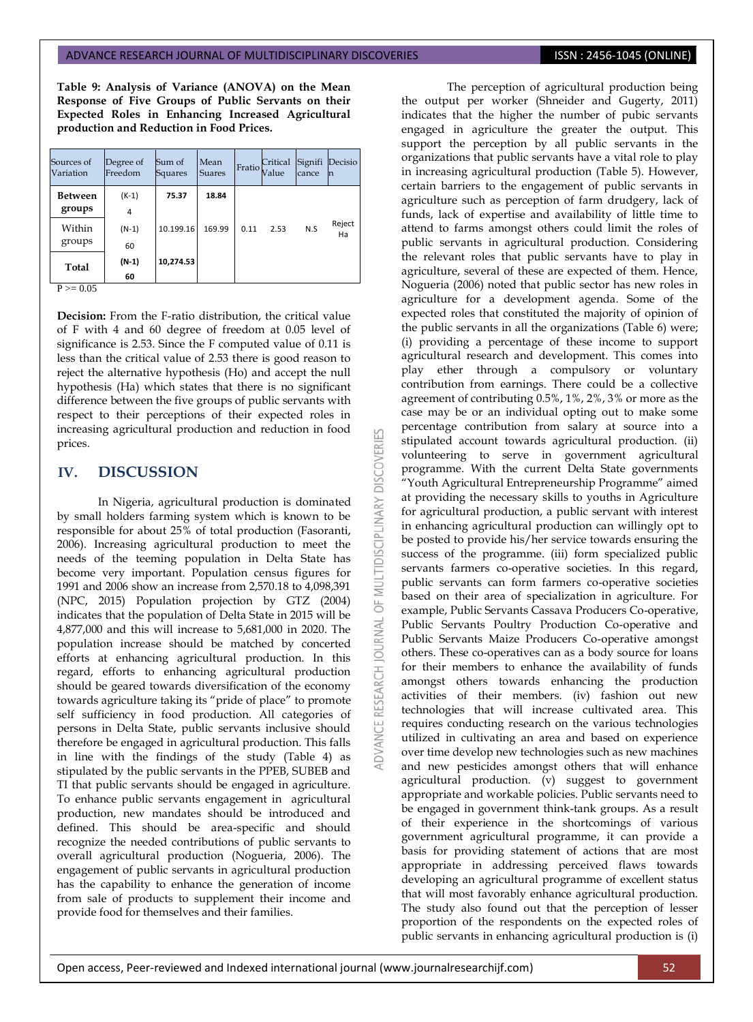**Table 9: Analysis of Variance (ANOVA) on the Mean Response of Five Groups of Public Servants on their Expected Roles in Enhancing Increased Agricultural production and Reduction in Food Prices.**

| Sources of<br>Variation | Degree of<br>Freedom | Sum of<br>Squares | Mean<br><b>Suares</b> | Fratio | Critical<br>Value | Signifi<br>cance | Decisio<br>m |
|-------------------------|----------------------|-------------------|-----------------------|--------|-------------------|------------------|--------------|
| Between<br>groups       | $(K-1)$<br>4         | 75.37             | 18.84                 |        |                   |                  |              |
| Within<br>groups        | $(N-1)$<br>60        | 10.199.16         | 169.99                | 0.11   | 2.53              | N.S              | Reject<br>Ha |
| Total                   | $(N-1)$<br>60        | 10,274.53         |                       |        |                   |                  |              |

 $P \ge 0.05$ 

**Decision:** From the F-ratio distribution, the critical value of F with 4 and 60 degree of freedom at 0.05 level of significance is 2.53. Since the F computed value of 0.11 is less than the critical value of 2.53 there is good reason to reject the alternative hypothesis (Ho) and accept the null hypothesis (Ha) which states that there is no significant difference between the five groups of public servants with respect to their perceptions of their expected roles in increasing agricultural production and reduction in food prices.

K

MULTIDISCIPLINARY DISCOVERI

 $\overline{6}$ 

JRNAL jon

**IDVANCE RESEARCH** 

# **IV. DISCUSSION**

In Nigeria, agricultural production is dominated by small holders farming system which is known to be responsible for about 25% of total production (Fasoranti, 2006). Increasing agricultural production to meet the needs of the teeming population in Delta State has become very important. Population census figures for 1991 and 2006 show an increase from 2,570.18 to 4,098,391 (NPC, 2015) Population projection by GTZ (2004) indicates that the population of Delta State in 2015 will be 4,877,000 and this will increase to 5,681,000 in 2020. The population increase should be matched by concerted efforts at enhancing agricultural production. In this regard, efforts to enhancing agricultural production should be geared towards diversification of the economy towards agriculture taking its "pride of place" to promote self sufficiency in food production. All categories of persons in Delta State, public servants inclusive should therefore be engaged in agricultural production. This falls in line with the findings of the study (Table 4) as stipulated by the public servants in the PPEB, SUBEB and TI that public servants should be engaged in agriculture. To enhance public servants engagement in agricultural production, new mandates should be introduced and defined. This should be area-specific and should recognize the needed contributions of public servants to overall agricultural production (Nogueria, 2006). The engagement of public servants in agricultural production has the capability to enhance the generation of income from sale of products to supplement their income and provide food for themselves and their families.

The perception of agricultural production being the output per worker (Shneider and Gugerty, 2011) indicates that the higher the number of pubic servants engaged in agriculture the greater the output. This support the perception by all public servants in the organizations that public servants have a vital role to play in increasing agricultural production (Table 5). However, certain barriers to the engagement of public servants in agriculture such as perception of farm drudgery, lack of funds, lack of expertise and availability of little time to attend to farms amongst others could limit the roles of public servants in agricultural production. Considering the relevant roles that public servants have to play in agriculture, several of these are expected of them. Hence, Nogueria (2006) noted that public sector has new roles in agriculture for a development agenda. Some of the expected roles that constituted the majority of opinion of the public servants in all the organizations (Table 6) were; (i) providing a percentage of these income to support agricultural research and development. This comes into play ether through a compulsory or voluntary contribution from earnings. There could be a collective agreement of contributing 0.5%, 1%, 2%, 3% or more as the case may be or an individual opting out to make some percentage contribution from salary at source into a stipulated account towards agricultural production. (ii) volunteering to serve in government agricultural programme. With the current Delta State governments "Youth Agricultural Entrepreneurship Programme" aimed at providing the necessary skills to youths in Agriculture for agricultural production, a public servant with interest in enhancing agricultural production can willingly opt to be posted to provide his/her service towards ensuring the success of the programme. (iii) form specialized public servants farmers co-operative societies. In this regard, public servants can form farmers co-operative societies based on their area of specialization in agriculture. For example, Public Servants Cassava Producers Co-operative, Public Servants Poultry Production Co-operative and Public Servants Maize Producers Co-operative amongst others. These co-operatives can as a body source for loans for their members to enhance the availability of funds amongst others towards enhancing the production activities of their members. (iv) fashion out new technologies that will increase cultivated area. This requires conducting research on the various technologies utilized in cultivating an area and based on experience over time develop new technologies such as new machines and new pesticides amongst others that will enhance agricultural production. (v) suggest to government appropriate and workable policies. Public servants need to be engaged in government think-tank groups. As a result of their experience in the shortcomings of various government agricultural programme, it can provide a basis for providing statement of actions that are most appropriate in addressing perceived flaws towards developing an agricultural programme of excellent status that will most favorably enhance agricultural production. The study also found out that the perception of lesser proportion of the respondents on the expected roles of public servants in enhancing agricultural production is (i)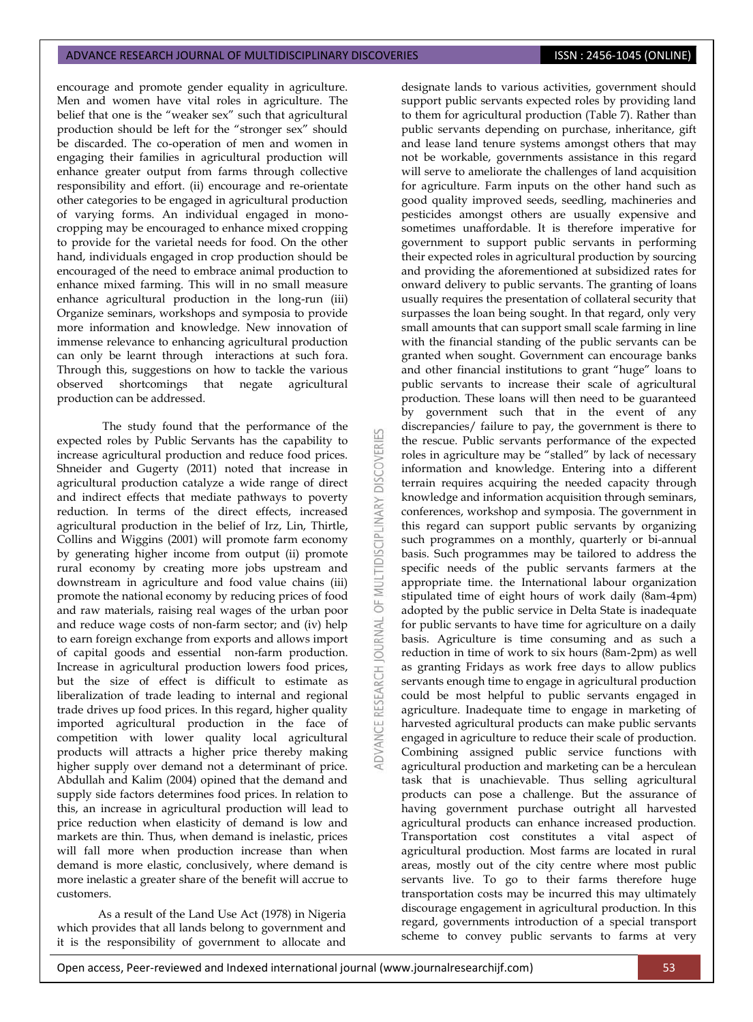encourage and promote gender equality in agriculture. Men and women have vital roles in agriculture. The belief that one is the "weaker sex" such that agricultural production should be left for the "stronger sex" should be discarded. The co-operation of men and women in engaging their families in agricultural production will enhance greater output from farms through collective responsibility and effort. (ii) encourage and re-orientate other categories to be engaged in agricultural production of varying forms. An individual engaged in monocropping may be encouraged to enhance mixed cropping to provide for the varietal needs for food. On the other hand, individuals engaged in crop production should be encouraged of the need to embrace animal production to enhance mixed farming. This will in no small measure enhance agricultural production in the long-run (iii) Organize seminars, workshops and symposia to provide more information and knowledge. New innovation of immense relevance to enhancing agricultural production can only be learnt through interactions at such fora. Through this, suggestions on how to tackle the various observed shortcomings that negate agricultural production can be addressed.

The study found that the performance of the expected roles by Public Servants has the capability to increase agricultural production and reduce food prices. Shneider and Gugerty (2011) noted that increase in agricultural production catalyze a wide range of direct and indirect effects that mediate pathways to poverty reduction. In terms of the direct effects, increased agricultural production in the belief of Irz, Lin, Thirtle, Collins and Wiggins (2001) will promote farm economy by generating higher income from output (ii) promote rural economy by creating more jobs upstream and downstream in agriculture and food value chains (iii) promote the national economy by reducing prices of food and raw materials, raising real wages of the urban poor and reduce wage costs of non-farm sector; and (iv) help to earn foreign exchange from exports and allows import of capital goods and essential non-farm production. Increase in agricultural production lowers food prices, but the size of effect is difficult to estimate as liberalization of trade leading to internal and regional trade drives up food prices. In this regard, higher quality imported agricultural production in the face of competition with lower quality local agricultural products will attracts a higher price thereby making higher supply over demand not a determinant of price. Abdullah and Kalim (2004) opined that the demand and supply side factors determines food prices. In relation to this, an increase in agricultural production will lead to price reduction when elasticity of demand is low and markets are thin. Thus, when demand is inelastic, prices will fall more when production increase than when demand is more elastic, conclusively, where demand is more inelastic a greater share of the benefit will accrue to customers.

As a result of the Land Use Act (1978) in Nigeria which provides that all lands belong to government and it is the responsibility of government to allocate and 53 **DISCOVERI MULTIDISCIPLINARY**  $\overline{6}$ **JAWAL ADVANCE RESEARCH**  designate lands to various activities, government should support public servants expected roles by providing land to them for agricultural production (Table 7). Rather than public servants depending on purchase, inheritance, gift and lease land tenure systems amongst others that may not be workable, governments assistance in this regard will serve to ameliorate the challenges of land acquisition for agriculture. Farm inputs on the other hand such as good quality improved seeds, seedling, machineries and pesticides amongst others are usually expensive and sometimes unaffordable. It is therefore imperative for government to support public servants in performing their expected roles in agricultural production by sourcing and providing the aforementioned at subsidized rates for onward delivery to public servants. The granting of loans usually requires the presentation of collateral security that surpasses the loan being sought. In that regard, only very small amounts that can support small scale farming in line with the financial standing of the public servants can be granted when sought. Government can encourage banks and other financial institutions to grant "huge" loans to public servants to increase their scale of agricultural production. These loans will then need to be guaranteed by government such that in the event of any discrepancies/ failure to pay, the government is there to the rescue. Public servants performance of the expected roles in agriculture may be "stalled" by lack of necessary information and knowledge. Entering into a different terrain requires acquiring the needed capacity through knowledge and information acquisition through seminars, conferences, workshop and symposia. The government in this regard can support public servants by organizing such programmes on a monthly, quarterly or bi-annual basis. Such programmes may be tailored to address the specific needs of the public servants farmers at the appropriate time. the International labour organization stipulated time of eight hours of work daily (8am-4pm) adopted by the public service in Delta State is inadequate for public servants to have time for agriculture on a daily basis. Agriculture is time consuming and as such a reduction in time of work to six hours (8am-2pm) as well as granting Fridays as work free days to allow publics servants enough time to engage in agricultural production could be most helpful to public servants engaged in agriculture. Inadequate time to engage in marketing of harvested agricultural products can make public servants engaged in agriculture to reduce their scale of production. Combining assigned public service functions with agricultural production and marketing can be a herculean task that is unachievable. Thus selling agricultural products can pose a challenge. But the assurance of having government purchase outright all harvested agricultural products can enhance increased production. Transportation cost constitutes a vital aspect of agricultural production. Most farms are located in rural areas, mostly out of the city centre where most public servants live. To go to their farms therefore huge transportation costs may be incurred this may ultimately discourage engagement in agricultural production. In this regard, governments introduction of a special transport scheme to convey public servants to farms at very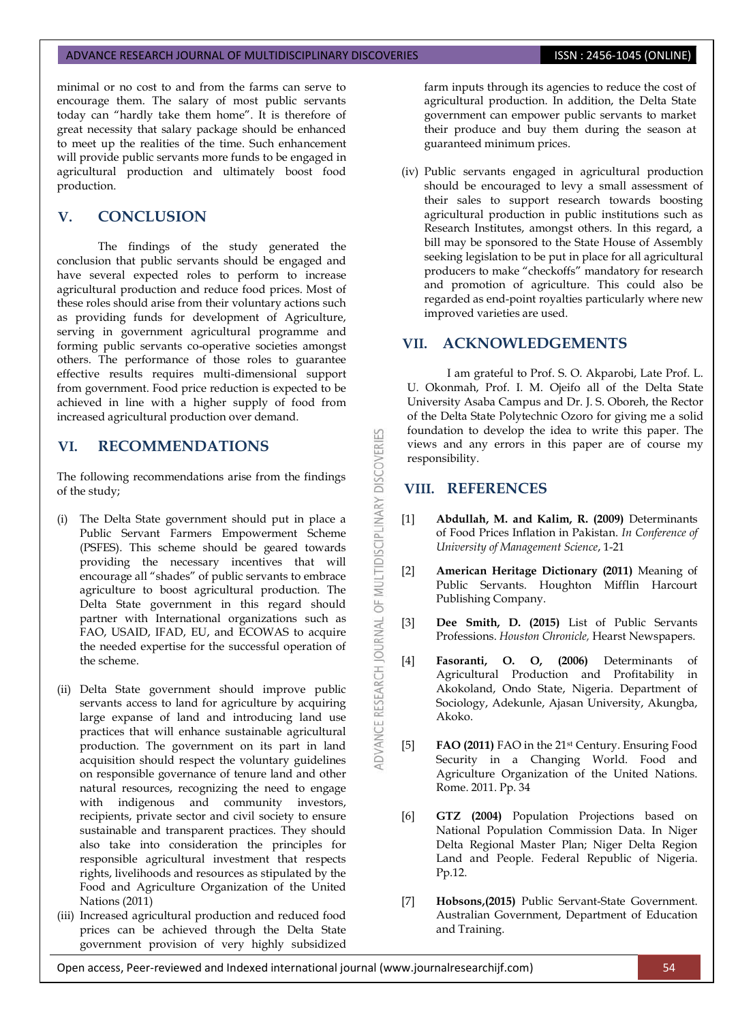minimal or no cost to and from the farms can serve to encourage them. The salary of most public servants today can "hardly take them home". It is therefore of great necessity that salary package should be enhanced to meet up the realities of the time. Such enhancement will provide public servants more funds to be engaged in agricultural production and ultimately boost food production.

# **V. CONCLUSION**

The findings of the study generated the conclusion that public servants should be engaged and have several expected roles to perform to increase agricultural production and reduce food prices. Most of these roles should arise from their voluntary actions such as providing funds for development of Agriculture, serving in government agricultural programme and forming public servants co-operative societies amongst others. The performance of those roles to guarantee effective results requires multi-dimensional support from government. Food price reduction is expected to be achieved in line with a higher supply of food from increased agricultural production over demand.

# **VI. RECOMMENDATIONS**

The following recommendations arise from the findings of the study;

- (i) The Delta State government should put in place a Public Servant Farmers Empowerment Scheme (PSFES). This scheme should be geared towards providing the necessary incentives that will encourage all "shades" of public servants to embrace agriculture to boost agricultural production. The Delta State government in this regard should partner with International organizations such as FAO, USAID, IFAD, EU, and ECOWAS to acquire the needed expertise for the successful operation of the scheme.
- (ii) Delta State government should improve public servants access to land for agriculture by acquiring large expanse of land and introducing land use practices that will enhance sustainable agricultural production. The government on its part in land acquisition should respect the voluntary guidelines on responsible governance of tenure land and other natural resources, recognizing the need to engage with indigenous and community investors, recipients, private sector and civil society to ensure sustainable and transparent practices. They should also take into consideration the principles for responsible agricultural investment that respects rights, livelihoods and resources as stipulated by the Food and Agriculture Organization of the United Nations (2011)
- (iii) Increased agricultural production and reduced food prices can be achieved through the Delta State government provision of very highly subsidized

farm inputs through its agencies to reduce the cost of agricultural production. In addition, the Delta State government can empower public servants to market their produce and buy them during the season at guaranteed minimum prices.

(iv) Public servants engaged in agricultural production should be encouraged to levy a small assessment of their sales to support research towards boosting agricultural production in public institutions such as Research Institutes, amongst others. In this regard, a bill may be sponsored to the State House of Assembly seeking legislation to be put in place for all agricultural producers to make "checkoffs" mandatory for research and promotion of agriculture. This could also be regarded as end-point royalties particularly where new improved varieties are used.

# **VII. ACKNOWLEDGEMENTS**

I am grateful to Prof. S. O. Akparobi, Late Prof. L. U. Okonmah, Prof. I. M. Ojeifo all of the Delta State University Asaba Campus and Dr. J. S. Oboreh, the Rector of the Delta State Polytechnic Ozoro for giving me a solid foundation to develop the idea to write this paper. The views and any errors in this paper are of course my responsibility.

# **VIII. REFERENCES**

DVANCE RESEARCH JOURNAL OF MULTIDISCIPLINARY DISCOVERIES

- [1] **Abdullah, M. and Kalim, R. (2009)** Determinants of Food Prices Inflation in Pakistan. *In Conference of University of Management Science*, 1-21
- [2] **American Heritage Dictionary (2011)** Meaning of Public Servants. Houghton Mifflin Harcourt Publishing Company.
- [3] **Dee Smith, D. (2015)** List of Public Servants Professions. *Houston Chronicle,* Hearst Newspapers.
- [4] **Fasoranti, O. O, (2006)** Determinants of Agricultural Production and Profitability in Akokoland, Ondo State, Nigeria. Department of Sociology, Adekunle, Ajasan University, Akungba, Akoko.
- [5] **FAO (2011)** FAO in the 21st Century. Ensuring Food Security in a Changing World. Food and Agriculture Organization of the United Nations. Rome. 2011. Pp. 34
- [6] **GTZ (2004)** Population Projections based on National Population Commission Data. In Niger Delta Regional Master Plan; Niger Delta Region Land and People. Federal Republic of Nigeria. Pp.12.
- [7] **Hobsons,(2015)** Public Servant-State Government. Australian Government, Department of Education and Training.